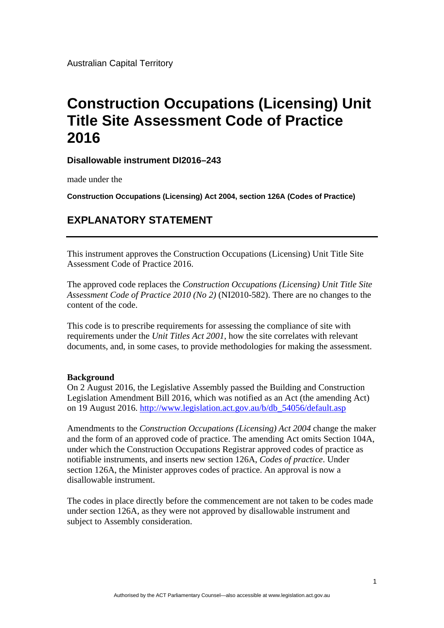Australian Capital Territory

## **Construction Occupations (Licensing) Unit Title Site Assessment Code of Practice 2016**

**Disallowable instrument DI2016–243**

made under the

**Construction Occupations (Licensing) Act 2004, section 126A (Codes of Practice)** 

## **EXPLANATORY STATEMENT**

This instrument approves the Construction Occupations (Licensing) Unit Title Site Assessment Code of Practice 2016.

The approved code replaces the *Construction Occupations (Licensing) Unit Title Site Assessment Code of Practice 2010 (No 2)* (NI2010-582). There are no changes to the content of the code.

This code is to prescribe requirements for assessing the compliance of site with requirements under the *Unit Titles Act 2001*, how the site correlates with relevant documents, and, in some cases, to provide methodologies for making the assessment.

## **Background**

On 2 August 2016, the Legislative Assembly passed the Building and Construction Legislation Amendment Bill 2016, which was notified as an Act (the amending Act) on 19 August 2016. http://www.legislation.act.gov.au/b/db\_54056/default.asp

Amendments to the *Construction Occupations (Licensing) Act 2004* change the maker and the form of an approved code of practice. The amending Act omits Section 104A, under which the Construction Occupations Registrar approved codes of practice as notifiable instruments, and inserts new section 126A, *Codes of practice*. Under section 126A, the Minister approves codes of practice. An approval is now a disallowable instrument.

The codes in place directly before the commencement are not taken to be codes made under section 126A, as they were not approved by disallowable instrument and subject to Assembly consideration.